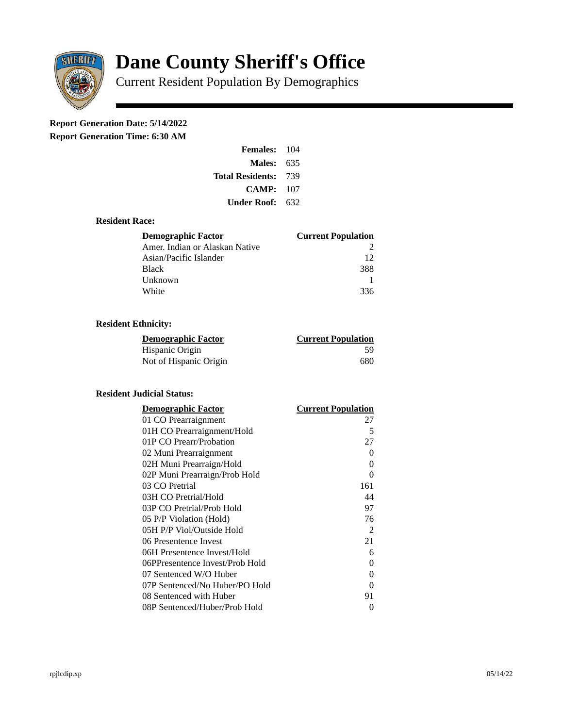

# **Dane County Sheriff's Office**

Current Resident Population By Demographics

# **Report Generation Date: 5/14/2022**

**Report Generation Time: 6:30 AM** 

| <b>Females: 104</b>         |     |
|-----------------------------|-----|
| <b>Males: 635</b>           |     |
| <b>Total Residents: 739</b> |     |
| CAMP: 107                   |     |
| Under Roof:                 | 632 |

## **Resident Race:**

| <b>Demographic Factor</b>      | <b>Current Population</b> |
|--------------------------------|---------------------------|
| Amer. Indian or Alaskan Native |                           |
| Asian/Pacific Islander         | 12                        |
| <b>Black</b>                   | 388                       |
| Unknown                        |                           |
| White                          | 336                       |

# **Resident Ethnicity:**

| Demographic Factor     | <b>Current Population</b> |
|------------------------|---------------------------|
| Hispanic Origin        | 59                        |
| Not of Hispanic Origin | 680                       |

# **Resident Judicial Status:**

| <b>Demographic Factor</b>       | <b>Current Population</b> |
|---------------------------------|---------------------------|
| 01 CO Prearraignment            | 27                        |
| 01H CO Prearraignment/Hold      | 5                         |
| 01P CO Prearr/Probation         | 27                        |
| 02 Muni Prearraignment          | O                         |
| 02H Muni Prearraign/Hold        | 0                         |
| 02P Muni Prearraign/Prob Hold   | 0                         |
| 03 CO Pretrial                  | 161                       |
| 03H CO Pretrial/Hold            | 44                        |
| 03P CO Pretrial/Prob Hold       | 97                        |
| 05 P/P Violation (Hold)         | 76                        |
| 05H P/P Viol/Outside Hold       | 2                         |
| 06 Presentence Invest           | 21                        |
| 06H Presentence Invest/Hold     | 6                         |
| 06PPresentence Invest/Prob Hold | 0                         |
| 07 Sentenced W/O Huber          | 0                         |
| 07P Sentenced/No Huber/PO Hold  | 0                         |
| 08 Sentenced with Huber         | 91                        |
| 08P Sentenced/Huber/Prob Hold   | 0                         |